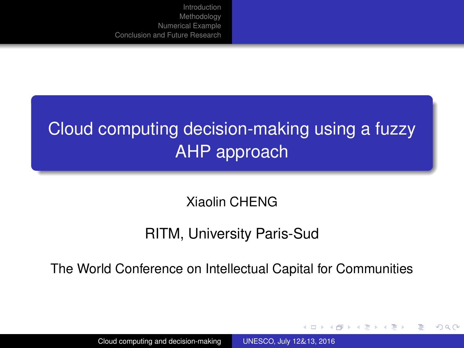# <span id="page-0-0"></span>Cloud computing decision-making using a fuzzy AHP approach

Xiaolin CHENG

#### RITM, University Paris-Sud

The World Conference on Intellectual Capital for Communities

イロト イ母 トイヨ トイヨト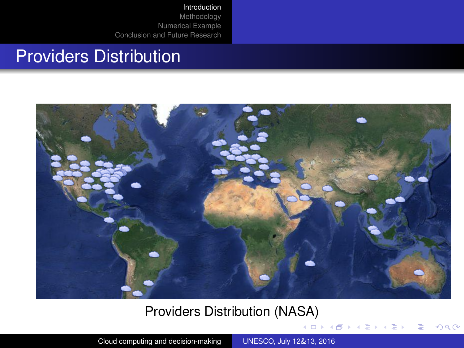#### <span id="page-1-0"></span>Providers Distribution



#### Providers Distribution (NASA)

**K ロ ▶ K 御 ▶ K 唐 ▶ K 唐 ▶** 

 $QQ$ 

Cloud computing and decision-making [UNESCO, July 12](#page-0-0)&13, 2016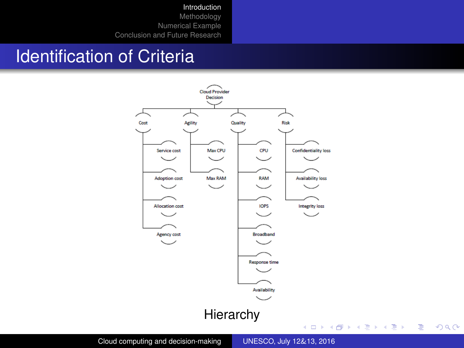[Introduction](#page-1-0)

[Methodology](#page-4-0) [Numerical Example](#page-9-0) [Conclusion and Future Research](#page-11-0)

### Identification of Criteria



Cloud computing and decision-making [UNESCO, July 12](#page-0-0)&13, 2016

Ē.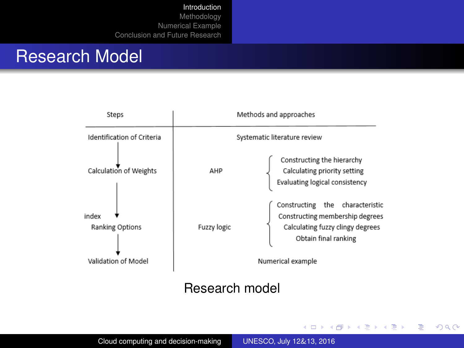#### Research Model



#### Research model

イロト イ押 トイヨ トイヨト

 $QQ$ 

Þ

Cloud computing and decision-making [UNESCO, July 12](#page-0-0)&13, 2016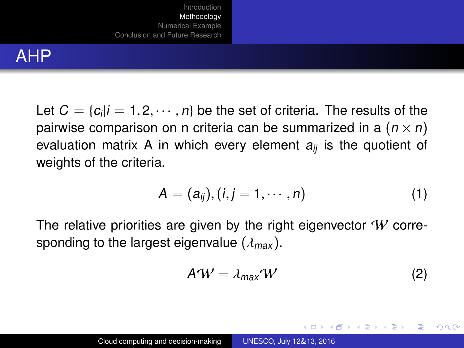## <span id="page-4-0"></span>AHP

Let  $C = \{c_i | i = 1, 2, \cdots, n\}$  be the set of criteria. The results of the results of the results of the results of the results of the results of the results of the results of the results of the results of  $c \times n$ . pairwise comparison on n criteria can be summarized in a  $(n \times n)$ evaluation matrix A in which every element  $a_{ii}$  is the quotient of weights of the criteria.

$$
A = (a_{ij}), (i, j = 1, \cdots, n)
$$
 (1)

The relative priorities are given by the right eigenvector  $W$  corresponding to the largest eigenvalue ( $\lambda_{max}$ ).

$$
A^{\prime}W = \lambda_{\text{max}}^{\prime}W\tag{2}
$$

イロト イ押 トイヨ トイヨト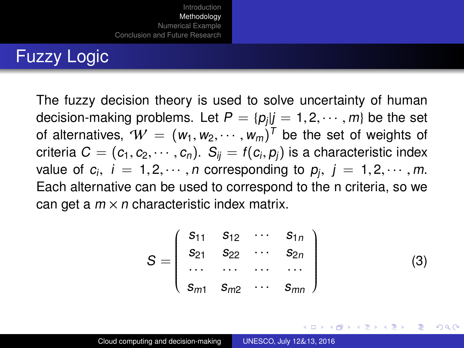The fuzzy decision theory is used to solve uncertainty of human decision-making problems. Let  $P = \{p_j | j = 1, 2, \cdots, m\}$  be the set<br>of alternatives  $\mathcal{U} = (w_1, w_2, \cdots, w_m)^T$  be the set of weights of of alternatives,  $W = (w_1, w_2, \cdots, w_m)^T$  be the set of weights of circle relative index containing  $C = (c_1, c_2, \cdots, c_n)^T$ . Sure  $f(c_1, c_2)$  is a characteristic index criteria  $C = (c_1, c_2, \dots, c_n)$ .  $S_{ij} = f(c_i, p_j)$  is a characteristic index<br>value of  $c_i$ ,  $i = 1, 2, \dots, n$  corresponding to  $p_i$ ,  $i = 1, 2, \dots, m$ value of  $c_i$ ,  $i = 1, 2, \cdots, n$  corresponding to  $p_j$ ,  $j = 1, 2, \cdots, m$ .<br>Each alternative can be used to correspond to the p criterial so we Each alternative can be used to correspond to the n criteria, so we can get a  $m \times n$  characteristic index matrix.

$$
S = \begin{pmatrix} s_{11} & s_{12} & \cdots & s_{1n} \\ s_{21} & s_{22} & \cdots & s_{2n} \\ \cdots & \cdots & \cdots & \cdots \\ s_{m1} & s_{m2} & \cdots & s_{mn} \end{pmatrix}
$$
 (3)

イロト イ母 トイヨ トイヨト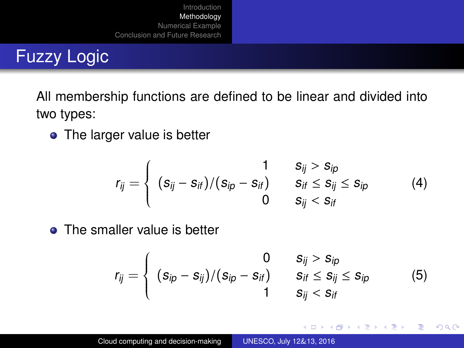All membership functions are defined to be linear and divided into two types:

• The larger value is better

$$
r_{ij} = \begin{cases} 1 & S_{ij} > S_{ip} \\ (S_{ij} - S_{if})/(S_{ip} - S_{if}) & S_{if} \leq S_{ij} \leq S_{ip} \\ 0 & S_{ij} < S_{if} \end{cases}
$$
(4)

• The smaller value is better

$$
r_{ij} = \left\{ \begin{array}{cc} 0 & s_{ij} > s_{ip} \\ (s_{ip} - s_{ij})/(s_{ip} - s_{if}) & s_{if} \leq s_{ij} \leq s_{ip} \\ 1 & s_{ij} < s_{if} \end{array} \right.
$$
 (5)

イロト イ母 トイラ トイラト

∍

 $2Q$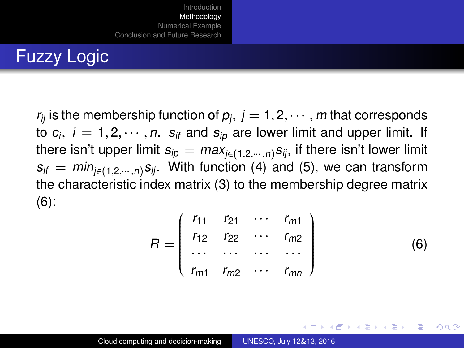$r_{ij}$  is the membership function of  $p_j$ ,  $j = 1, 2, \cdots, m$  that corresponds<br>to  $c_i$ ,  $j = 1, 2, \cdots, n$ , su and su, are lower limit and upper limit. If to  $c_i$ ,  $i = 1, 2, \cdots, n$ .  $s_{if}$  and  $s_{ip}$  are lower limit and upper limit. If<br>there isn't upper limit  $s_{ir} = max_i$  (equally similar lower limit there isn't upper limit  $s_{ip} = max_{i \in (1,2,\dots,n)} s_{ij}$ , if there isn't lower limit  $s_{if} = min_{i \in \{1,2,\dots,n\}} s_{ij}$ . With function (4) and (5), we can transform the characteristic index matrix (3) to the membership degree matrix  $(6)$ :

$$
R = \begin{pmatrix} r_{11} & r_{21} & \cdots & r_{m1} \\ r_{12} & r_{22} & \cdots & r_{m2} \\ \cdots & \cdots & \cdots & \cdots \\ r_{m1} & r_{m2} & \cdots & r_{mn} \end{pmatrix}
$$
 (6)

イロト イ母 トイヨ トイヨト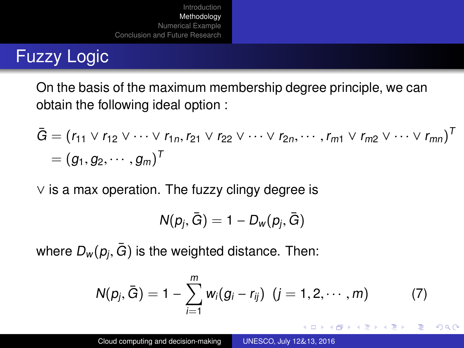On the basis of the maximum membership degree principle, we can obtain the following ideal option :

$$
\bar{G} = (r_{11} \vee r_{12} \vee \cdots \vee r_{1n}, r_{21} \vee r_{22} \vee \cdots \vee r_{2n}, \cdots, r_{m1} \vee r_{m2} \vee \cdots \vee r_{mn})^T
$$

$$
= (g_1, g_2, \cdots, g_m)^T
$$

∨ is a max operation. The fuzzy clingy degree is

$$
\mathsf{N}(p_j,\bar{G})=1-D_{\mathsf{w}}(p_j,\bar{G})
$$

where  $D_w(p_j,\bar{G})$  is the weighted distance. Then:

$$
N(p_j, \bar{G}) = 1 - \sum_{i=1}^{m} w_i (g_i - r_{ij}) \ (j = 1, 2, \cdots, m)
$$
 (7)

イロト イ押ト イミト イミト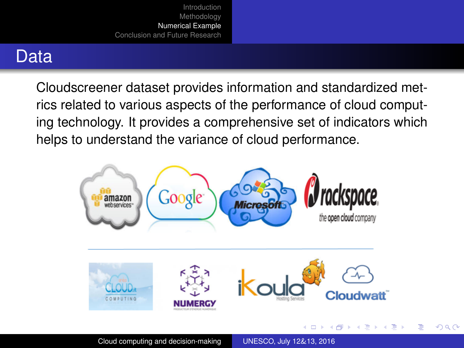## <span id="page-9-0"></span>**Data**

Cloudscreener dataset provides information and standardized metrics related to various aspects of the performance of cloud computing technology. It provides a comprehensive set of indicators which helps to understand the variance of cloud performance.

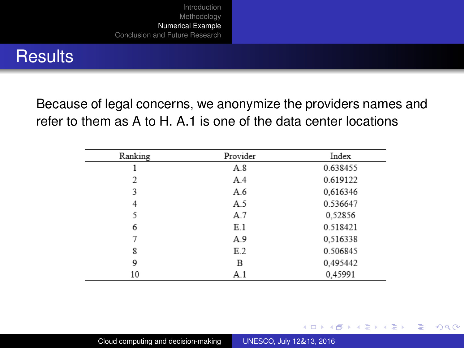#### **Results**

Because of legal concerns, we anonymize the providers names and refer to them as A to H. A.1 is one of the data center locations

| Ranking | Provider | Index    |
|---------|----------|----------|
|         | A.8      | 0.638455 |
| 2       | A.4      | 0.619122 |
| 3       | A.6      | 0.616346 |
| 4       | A.5      | 0.536647 |
| 5       | A.7      | 0.52856  |
| 6       | E.1      | 0.518421 |
|         | A.9      | 0,516338 |
| 8       | E.2      | 0.506845 |
| 9       | В        | 0,495442 |
| 10      | A.1      | 0.45991  |

イロト イ母 トイラ トイラト

Þ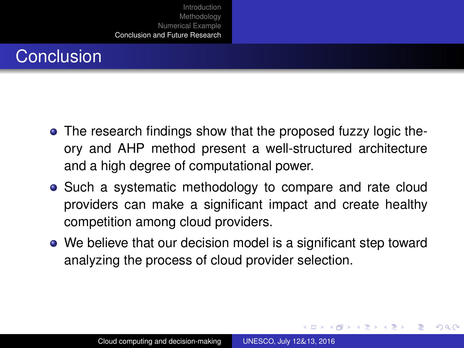# <span id="page-11-0"></span>**Conclusion**

- The research findings show that the proposed fuzzy logic theory and AHP method present a well-structured architecture and a high degree of computational power.
- Such a systematic methodology to compare and rate cloud providers can make a significant impact and create healthy competition among cloud providers.
- We believe that our decision model is a significant step toward analyzing the process of cloud provider selection.

イロト イ母 トイヨ トイヨト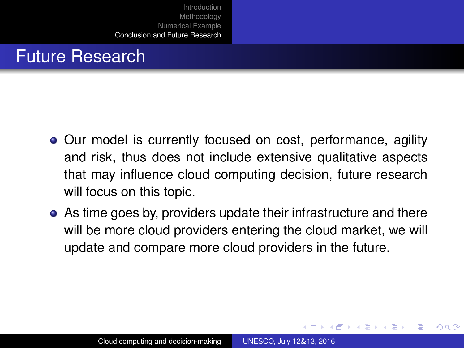## Future Research

- Our model is currently focused on cost, performance, agility and risk, thus does not include extensive qualitative aspects that may influence cloud computing decision, future research will focus on this topic.
- As time goes by, providers update their infrastructure and there will be more cloud providers entering the cloud market, we will update and compare more cloud providers in the future.

イロト イ母 トイヨ トイヨト